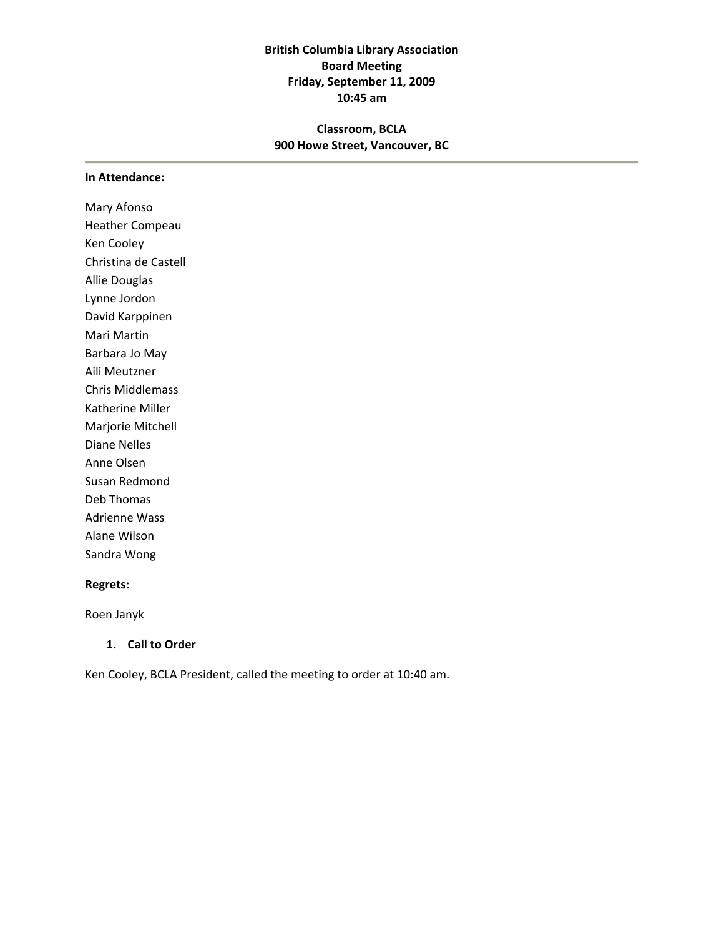# **British Columbia Library Association Board Meeting Friday, September 11, 2009 10:45 am**

# **Classroom, BCLA 900 Howe Street, Vancouver, BC**

#### **In Attendance:**

Mary Afonso Heather Compeau Ken Cooley Christina de Castell Allie Douglas Lynne Jordon David Karppinen Mari Martin Barbara Jo May Aili Meutzner Chris Middlemass Katherine Miller Marjorie Mitchell Diane Nelles Anne Olsen Susan Redmond Deb Thomas Adrienne Wass Alane Wilson Sandra Wong

#### **Regrets:**

Roen Janyk

### **1. Call to Order**

Ken Cooley, BCLA President, called the meeting to order at 10:40 am.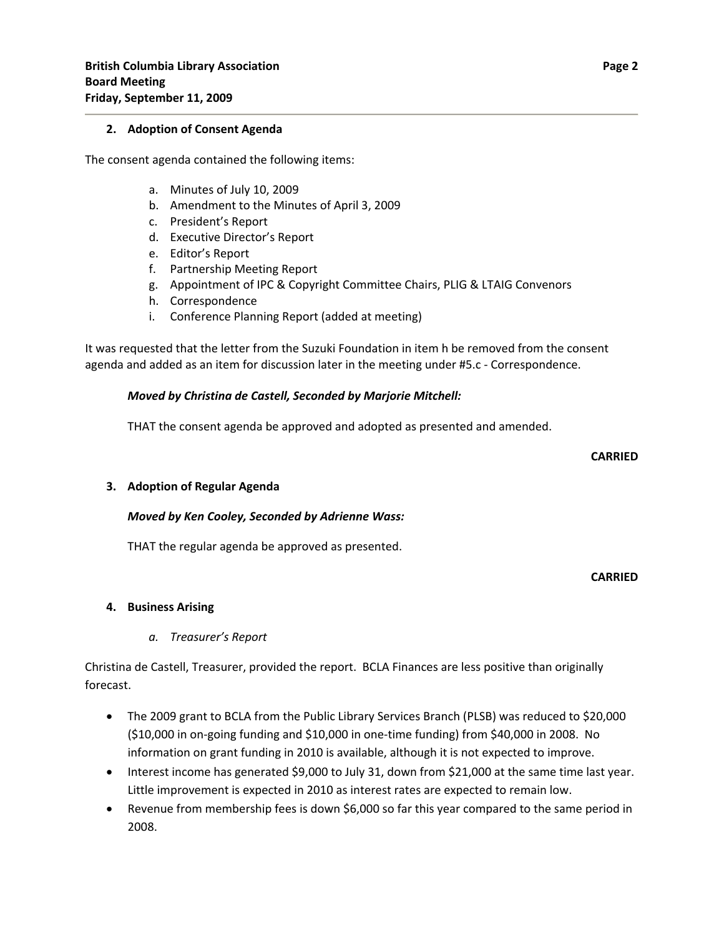#### **2. Adoption of Consent Agenda**

The consent agenda contained the following items:

- a. Minutes of July 10, 2009
- b. Amendment to the Minutes of April 3, 2009
- c. President's Report
- d. Executive Director's Report
- e. Editor's Report
- f. Partnership Meeting Report
- g. Appointment of IPC & Copyright Committee Chairs, PLIG & LTAIG Convenors
- h. Correspondence
- i. Conference Planning Report (added at meeting)

It was requested that the letter from the Suzuki Foundation in item h be removed from the consent agenda and added as an item for discussion later in the meeting under #5.c - Correspondence.

### *Moved by Christina de Castell, Seconded by Marjorie Mitchell:*

THAT the consent agenda be approved and adopted as presented and amended.

#### **CARRIED**

### **3. Adoption of Regular Agenda**

### *Moved by Ken Cooley, Seconded by Adrienne Wass:*

THAT the regular agenda be approved as presented.

#### **CARRIED**

### **4. Business Arising**

### *a. Treasurer's Report*

Christina de Castell, Treasurer, provided the report. BCLA Finances are less positive than originally forecast.

- The 2009 grant to BCLA from the Public Library Services Branch (PLSB) was reduced to \$20,000 (\$10,000 in on‐going funding and \$10,000 in one‐time funding) from \$40,000 in 2008. No information on grant funding in 2010 is available, although it is not expected to improve.
- Interest income has generated \$9,000 to July 31, down from \$21,000 at the same time last year. Little improvement is expected in 2010 as interest rates are expected to remain low.
- Revenue from membership fees is down \$6,000 so far this year compared to the same period in 2008.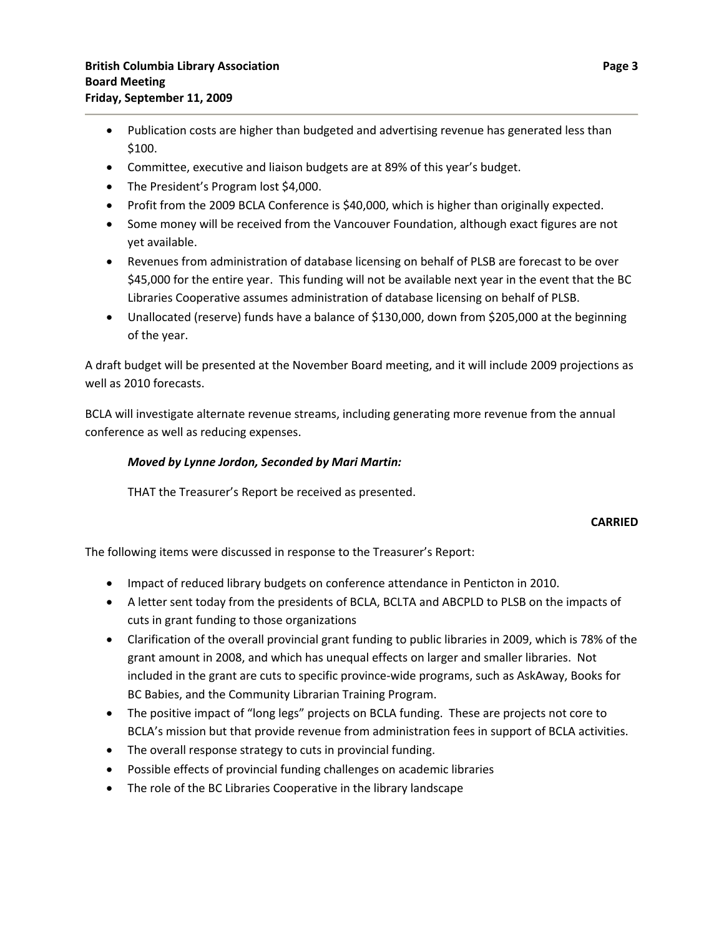- Publication costs are higher than budgeted and advertising revenue has generated less than \$100.
- Committee, executive and liaison budgets are at 89% of this year's budget.
- The President's Program lost \$4,000.
- Profit from the 2009 BCLA Conference is \$40,000, which is higher than originally expected.
- Some money will be received from the Vancouver Foundation, although exact figures are not yet available.
- Revenues from administration of database licensing on behalf of PLSB are forecast to be over \$45,000 for the entire year. This funding will not be available next year in the event that the BC Libraries Cooperative assumes administration of database licensing on behalf of PLSB.
- Unallocated (reserve) funds have a balance of \$130,000, down from \$205,000 at the beginning of the year.

A draft budget will be presented at the November Board meeting, and it will include 2009 projections as well as 2010 forecasts.

BCLA will investigate alternate revenue streams, including generating more revenue from the annual conference as well as reducing expenses.

## *Moved by Lynne Jordon, Seconded by Mari Martin:*

THAT the Treasurer's Report be received as presented.

### **CARRIED**

The following items were discussed in response to the Treasurer's Report:

- Impact of reduced library budgets on conference attendance in Penticton in 2010.
- A letter sent today from the presidents of BCLA, BCLTA and ABCPLD to PLSB on the impacts of cuts in grant funding to those organizations
- Clarification of the overall provincial grant funding to public libraries in 2009, which is 78% of the grant amount in 2008, and which has unequal effects on larger and smaller libraries. Not included in the grant are cuts to specific province‐wide programs, such as AskAway, Books for BC Babies, and the Community Librarian Training Program.
- The positive impact of "long legs" projects on BCLA funding. These are projects not core to BCLA's mission but that provide revenue from administration fees in support of BCLA activities.
- The overall response strategy to cuts in provincial funding.
- Possible effects of provincial funding challenges on academic libraries
- The role of the BC Libraries Cooperative in the library landscape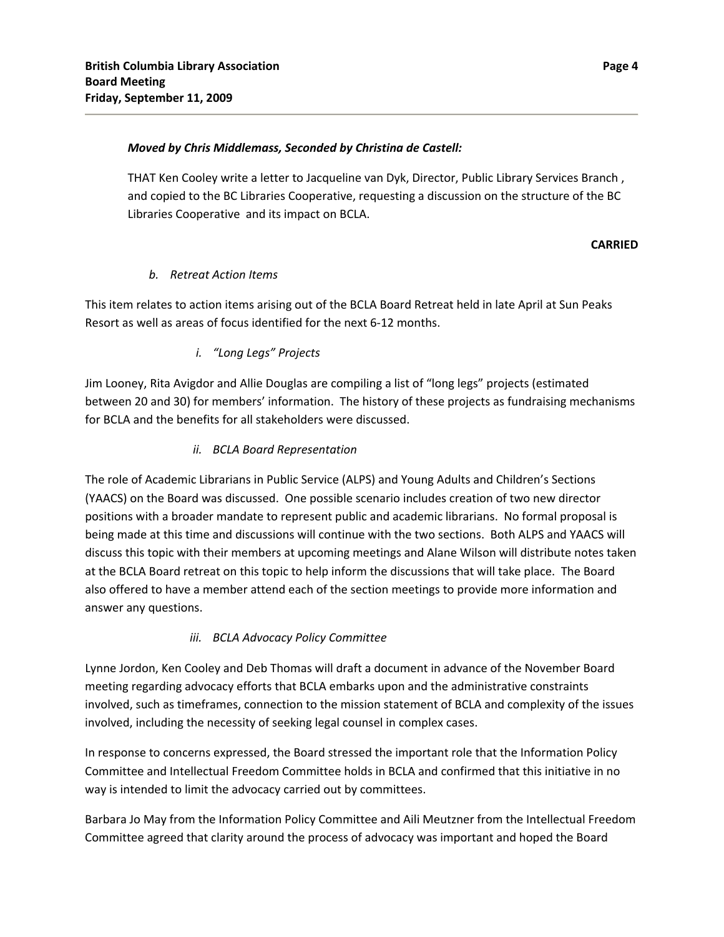### *Moved by Chris Middlemass, Seconded by Christina de Castell:*

THAT Ken Cooley write a letter to Jacqueline van Dyk, Director, Public Library Services Branch , and copied to the BC Libraries Cooperative, requesting a discussion on the structure of the BC Libraries Cooperative and its impact on BCLA.

### **CARRIED**

### *b. Retreat Action Items*

This item relates to action items arising out of the BCLA Board Retreat held in late April at Sun Peaks Resort as well as areas of focus identified for the next 6‐12 months.

### *i. "Long Legs" Projects*

Jim Looney, Rita Avigdor and Allie Douglas are compiling a list of "long legs" projects (estimated between 20 and 30) for members' information. The history of these projects as fundraising mechanisms for BCLA and the benefits for all stakeholders were discussed.

### *ii. BCLA Board Representation*

The role of Academic Librarians in Public Service (ALPS) and Young Adults and Children's Sections (YAACS) on the Board was discussed. One possible scenario includes creation of two new director positions with a broader mandate to represent public and academic librarians. No formal proposal is being made at this time and discussions will continue with the two sections. Both ALPS and YAACS will discuss this topic with their members at upcoming meetings and Alane Wilson will distribute notes taken at the BCLA Board retreat on this topic to help inform the discussions that will take place. The Board also offered to have a member attend each of the section meetings to provide more information and answer any questions.

# *iii. BCLA Advocacy Policy Committee*

Lynne Jordon, Ken Cooley and Deb Thomas will draft a document in advance of the November Board meeting regarding advocacy efforts that BCLA embarks upon and the administrative constraints involved, such as timeframes, connection to the mission statement of BCLA and complexity of the issues involved, including the necessity of seeking legal counsel in complex cases.

In response to concerns expressed, the Board stressed the important role that the Information Policy Committee and Intellectual Freedom Committee holds in BCLA and confirmed that this initiative in no way is intended to limit the advocacy carried out by committees.

Barbara Jo May from the Information Policy Committee and Aili Meutzner from the Intellectual Freedom Committee agreed that clarity around the process of advocacy was important and hoped the Board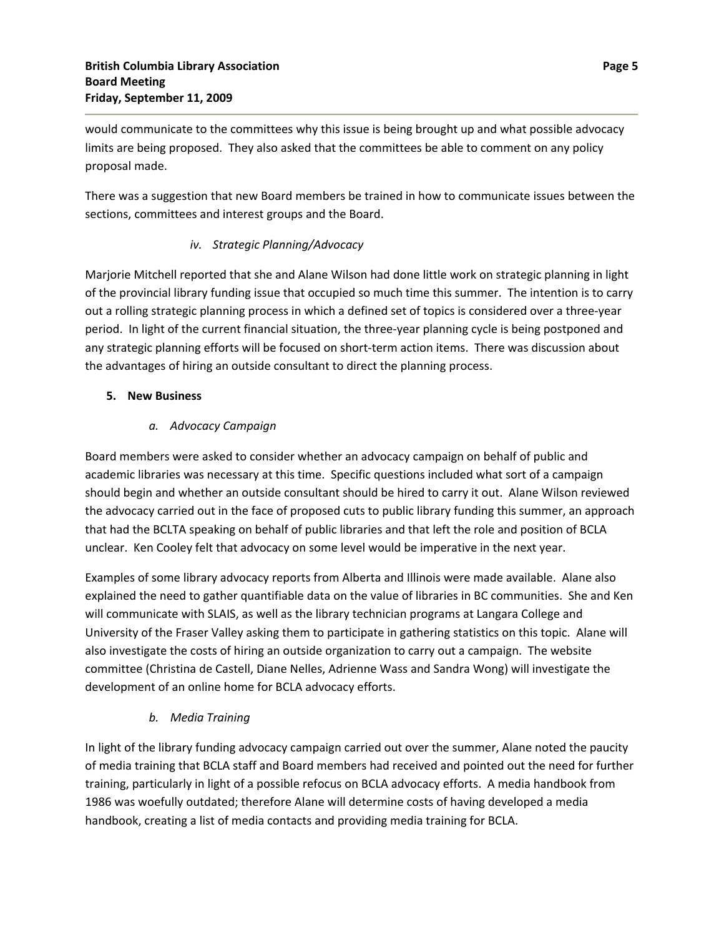would communicate to the committees why this issue is being brought up and what possible advocacy limits are being proposed. They also asked that the committees be able to comment on any policy proposal made.

There was a suggestion that new Board members be trained in how to communicate issues between the sections, committees and interest groups and the Board.

# *iv. Strategic Planning/Advocacy*

Marjorie Mitchell reported that she and Alane Wilson had done little work on strategic planning in light of the provincial library funding issue that occupied so much time this summer. The intention is to carry out a rolling strategic planning process in which a defined set of topics is considered over a three‐year period. In light of the current financial situation, the three-year planning cycle is being postponed and any strategic planning efforts will be focused on short-term action items. There was discussion about the advantages of hiring an outside consultant to direct the planning process.

## **5. New Business**

# *a. Advocacy Campaign*

Board members were asked to consider whether an advocacy campaign on behalf of public and academic libraries was necessary at this time. Specific questions included what sort of a campaign should begin and whether an outside consultant should be hired to carry it out. Alane Wilson reviewed the advocacy carried out in the face of proposed cuts to public library funding this summer, an approach that had the BCLTA speaking on behalf of public libraries and that left the role and position of BCLA unclear. Ken Cooley felt that advocacy on some level would be imperative in the next year.

Examples of some library advocacy reports from Alberta and Illinois were made available. Alane also explained the need to gather quantifiable data on the value of libraries in BC communities. She and Ken will communicate with SLAIS, as well as the library technician programs at Langara College and University of the Fraser Valley asking them to participate in gathering statistics on this topic. Alane will also investigate the costs of hiring an outside organization to carry out a campaign. The website committee (Christina de Castell, Diane Nelles, Adrienne Wass and Sandra Wong) will investigate the development of an online home for BCLA advocacy efforts.

# *b. Media Training*

In light of the library funding advocacy campaign carried out over the summer, Alane noted the paucity of media training that BCLA staff and Board members had received and pointed out the need for further training, particularly in light of a possible refocus on BCLA advocacy efforts. A media handbook from 1986 was woefully outdated; therefore Alane will determine costs of having developed a media handbook, creating a list of media contacts and providing media training for BCLA.